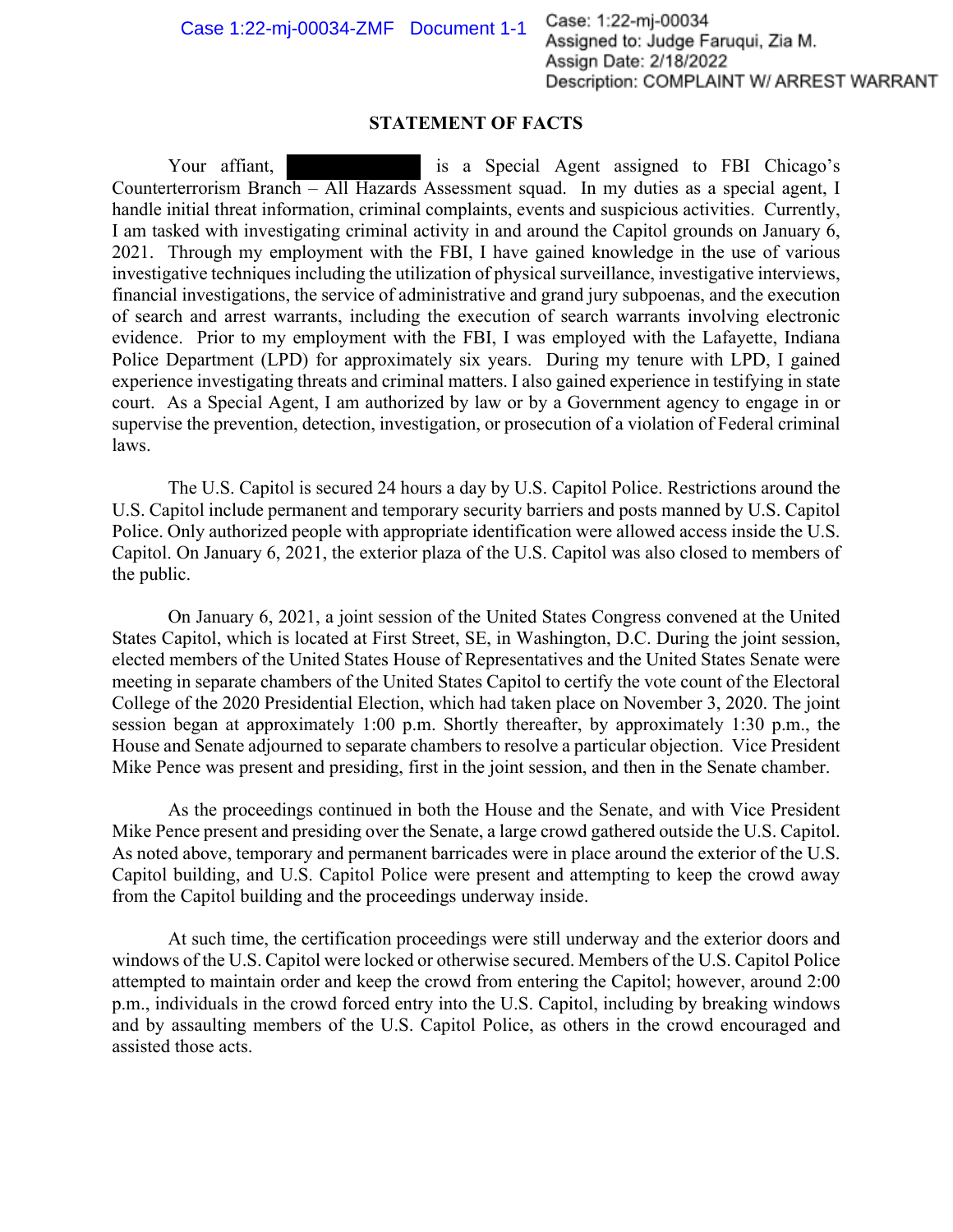## **STATEMENT OF FACTS**

Your affiant, is a Special Agent assigned to FBI Chicago's Counterterrorism Branch – All Hazards Assessment squad. In my duties as a special agent, I handle initial threat information, criminal complaints, events and suspicious activities. Currently, I am tasked with investigating criminal activity in and around the Capitol grounds on January 6, 2021. Through my employment with the FBI, I have gained knowledge in the use of various investigative techniques including the utilization of physical surveillance, investigative interviews, financial investigations, the service of administrative and grand jury subpoenas, and the execution of search and arrest warrants, including the execution of search warrants involving electronic evidence. Prior to my employment with the FBI, I was employed with the Lafayette, Indiana Police Department (LPD) for approximately six years. During my tenure with LPD, I gained experience investigating threats and criminal matters. I also gained experience in testifying in state court. As a Special Agent, I am authorized by law or by a Government agency to engage in or supervise the prevention, detection, investigation, or prosecution of a violation of Federal criminal laws.

The U.S. Capitol is secured 24 hours a day by U.S. Capitol Police. Restrictions around the U.S. Capitol include permanent and temporary security barriers and posts manned by U.S. Capitol Police. Only authorized people with appropriate identification were allowed access inside the U.S. Capitol. On January 6, 2021, the exterior plaza of the U.S. Capitol was also closed to members of the public.

On January 6, 2021, a joint session of the United States Congress convened at the United States Capitol, which is located at First Street, SE, in Washington, D.C. During the joint session, elected members of the United States House of Representatives and the United States Senate were meeting in separate chambers of the United States Capitol to certify the vote count of the Electoral College of the 2020 Presidential Election, which had taken place on November 3, 2020. The joint session began at approximately 1:00 p.m. Shortly thereafter, by approximately 1:30 p.m., the House and Senate adjourned to separate chambers to resolve a particular objection. Vice President Mike Pence was present and presiding, first in the joint session, and then in the Senate chamber.

As the proceedings continued in both the House and the Senate, and with Vice President Mike Pence present and presiding over the Senate, a large crowd gathered outside the U.S. Capitol. As noted above, temporary and permanent barricades were in place around the exterior of the U.S. Capitol building, and U.S. Capitol Police were present and attempting to keep the crowd away from the Capitol building and the proceedings underway inside.

At such time, the certification proceedings were still underway and the exterior doors and windows of the U.S. Capitol were locked or otherwise secured. Members of the U.S. Capitol Police attempted to maintain order and keep the crowd from entering the Capitol; however, around 2:00 p.m., individuals in the crowd forced entry into the U.S. Capitol, including by breaking windows and by assaulting members of the U.S. Capitol Police, as others in the crowd encouraged and assisted those acts.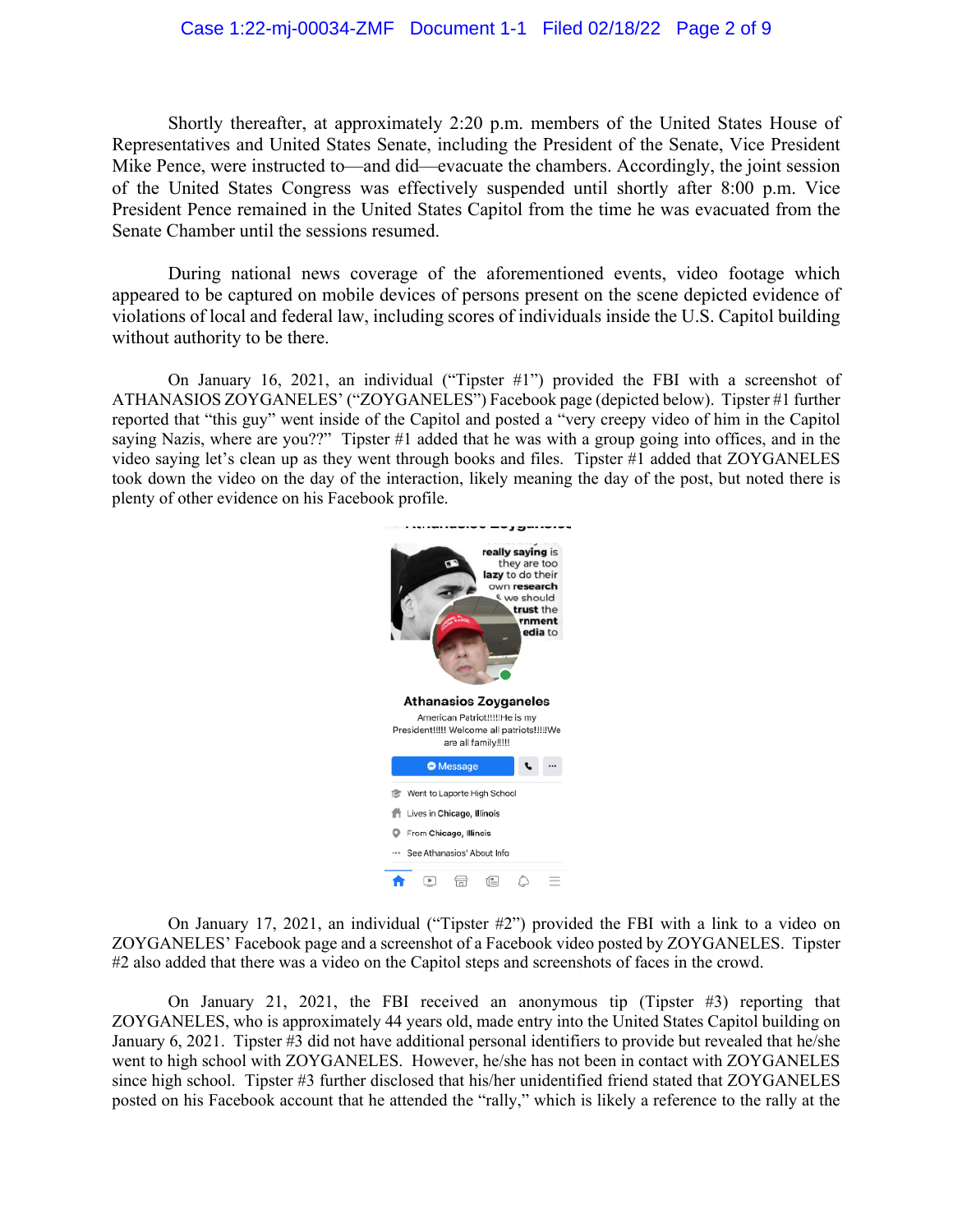## Case 1:22-mj-00034-ZMF Document 1-1 Filed 02/18/22 Page 2 of 9

Shortly thereafter, at approximately 2:20 p.m. members of the United States House of Representatives and United States Senate, including the President of the Senate, Vice President Mike Pence, were instructed to—and did—evacuate the chambers. Accordingly, the joint session of the United States Congress was effectively suspended until shortly after 8:00 p.m. Vice President Pence remained in the United States Capitol from the time he was evacuated from the Senate Chamber until the sessions resumed.

During national news coverage of the aforementioned events, video footage which appeared to be captured on mobile devices of persons present on the scene depicted evidence of violations of local and federal law, including scores of individuals inside the U.S. Capitol building without authority to be there.

On January 16, 2021, an individual ("Tipster #1") provided the FBI with a screenshot of ATHANASIOS ZOYGANELES' ("ZOYGANELES") Facebook page (depicted below). Tipster #1 further reported that "this guy" went inside of the Capitol and posted a "very creepy video of him in the Capitol saying Nazis, where are you??" Tipster #1 added that he was with a group going into offices, and in the video saying let's clean up as they went through books and files. Tipster #1 added that ZOYGANELES took down the video on the day of the interaction, likely meaning the day of the post, but noted there is plenty of other evidence on his Facebook profile.



On January 17, 2021, an individual ("Tipster #2") provided the FBI with a link to a video on ZOYGANELES' Facebook page and a screenshot of a Facebook video posted by ZOYGANELES. Tipster #2 also added that there was a video on the Capitol steps and screenshots of faces in the crowd.

On January 21, 2021, the FBI received an anonymous tip (Tipster #3) reporting that ZOYGANELES, who is approximately 44 years old, made entry into the United States Capitol building on January 6, 2021. Tipster #3 did not have additional personal identifiers to provide but revealed that he/she went to high school with ZOYGANELES. However, he/she has not been in contact with ZOYGANELES since high school. Tipster #3 further disclosed that his/her unidentified friend stated that ZOYGANELES posted on his Facebook account that he attended the "rally," which is likely a reference to the rally at the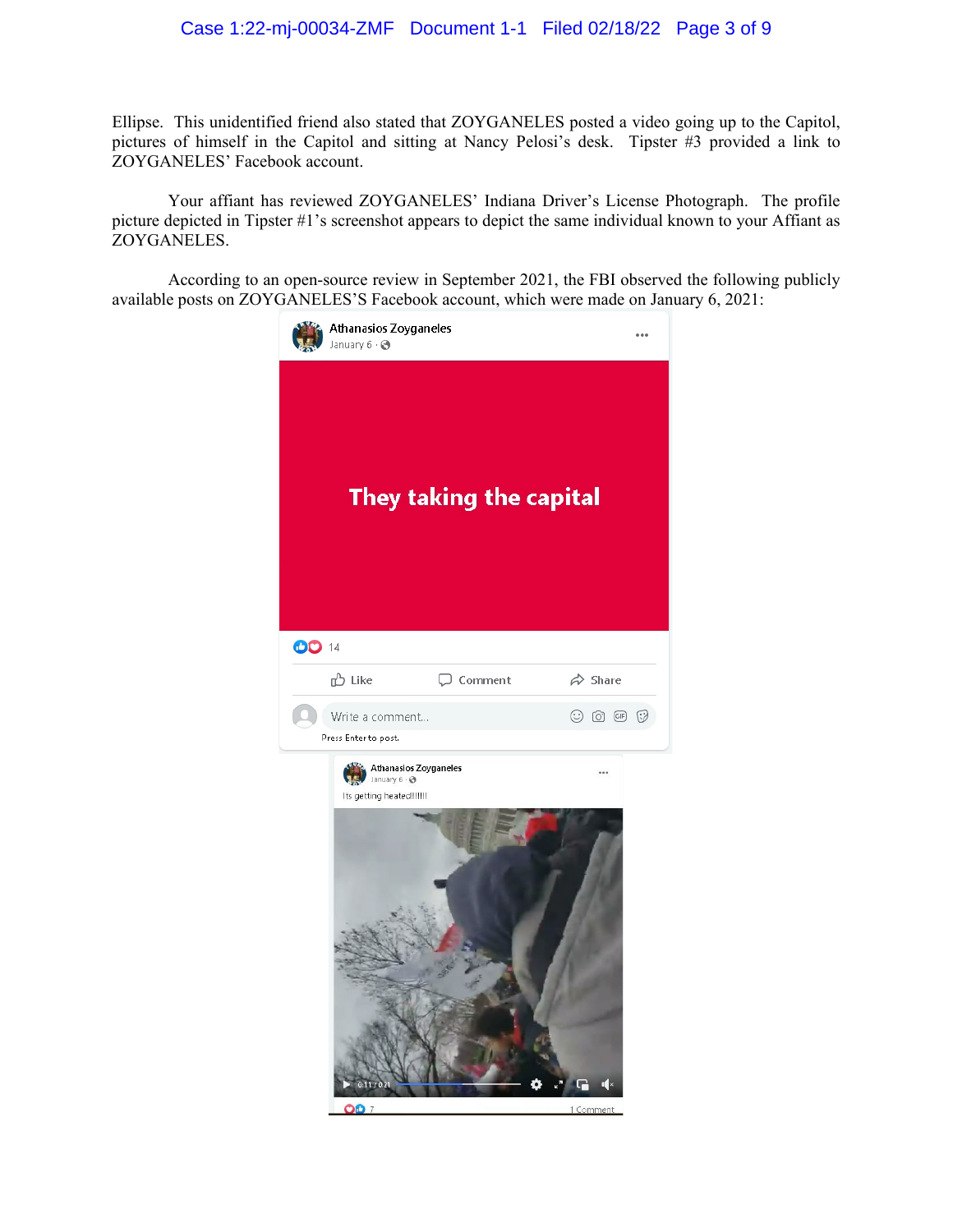Ellipse. This unidentified friend also stated that ZOYGANELES posted a video going up to the Capitol, pictures of himself in the Capitol and sitting at Nancy Pelosi's desk. Tipster #3 provided a link to ZOYGANELES' Facebook account.

Your affiant has reviewed ZOYGANELES' Indiana Driver's License Photograph. The profile picture depicted in Tipster #1's screenshot appears to depict the same individual known to your Affiant as ZOYGANELES.

According to an open-source review in September 2021, the FBI observed the following publicly available posts on ZOYGANELES'S Facebook account, which were made on January 6, 2021:

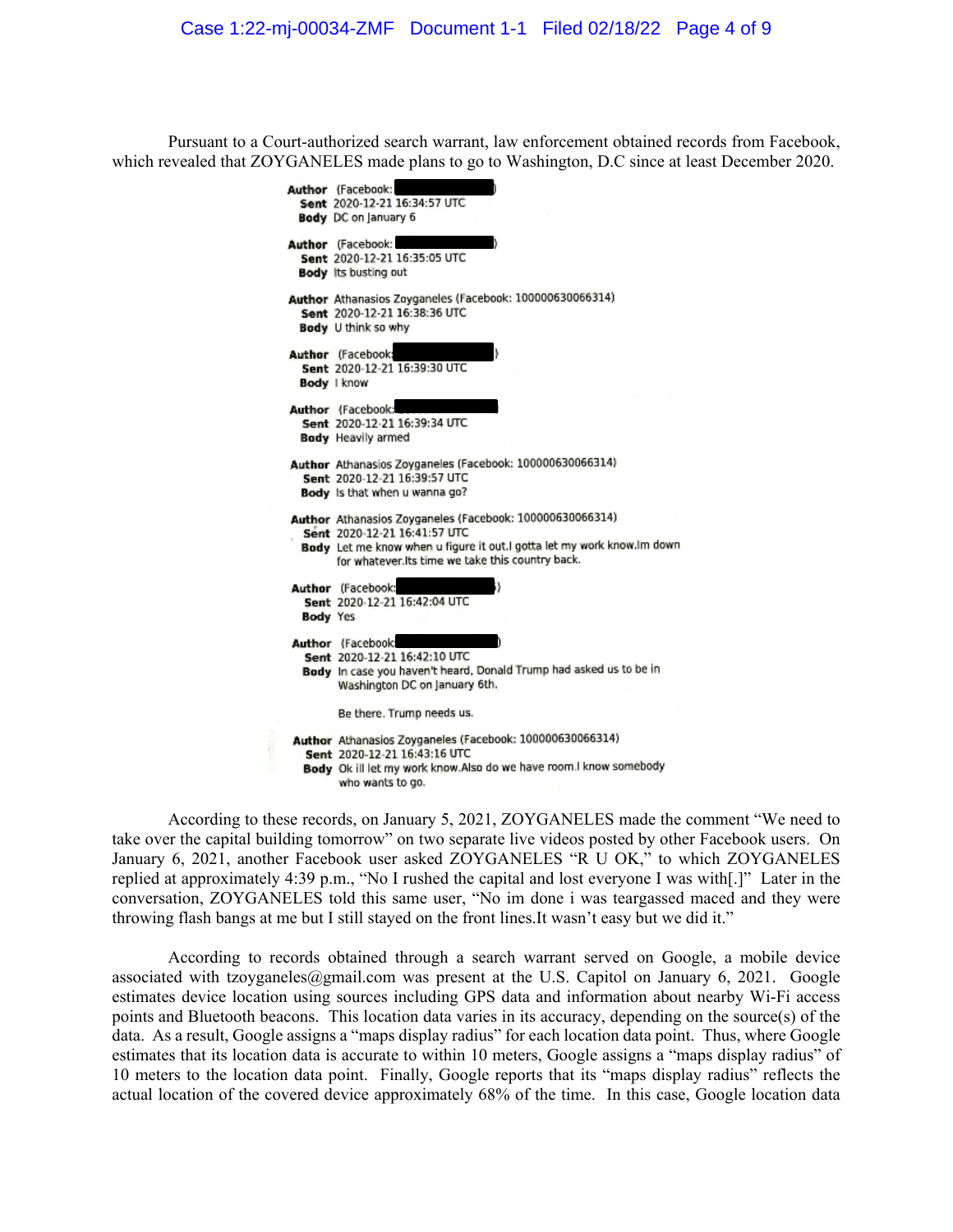Pursuant to a Court-authorized search warrant, law enforcement obtained records from Facebook, which revealed that ZOYGANELES made plans to go to Washington, D.C since at least December 2020.

> Author (Facebook: Sent 2020-12-21 16:34:57 UTC **Body** DC on January 6 Author (Facebook: Sent 2020-12-21 16:35:05 UTC **Body** Its busting out Author Athanasios Zoyganeles (Facebook: 100000630066314) Sent 2020-12-21 16:38:36 UTC Body U think so why Author (Facebook) Sent 2020-12-21 16:39:30 UTC **Body I know** Author (Facebook: Sent 2020-12-21 16:39:34 UTC **Body** Heavily armed Author Athanasios Zoyganeles (Facebook: 100000630066314) Sent 2020-12-21 16:39:57 UTC Body Is that when u wanna go? Author Athanasios Zoyganeles (Facebook: 100000630066314) Sent 2020-12-21 16:41:57 UTC Body Let me know when u figure it out.I gotta let my work know.Im down for whatever. Its time we take this country back. Author (Facebook: Sent 2020-12-21 16:42:04 UTC **Body Yes** Author (Facebook: Sent 2020-12-21 16:42:10 UTC Body In case you haven't heard, Donald Trump had asked us to be in Washington DC on January 6th. Be there. Trump needs us. Author Athanasios Zoyganeles (Facebook: 100000630066314) Sent 2020-12-21 16:43:16 UTC Body Ok ill let my work know Also do we have room. I know somebody who wants to go.

According to these records, on January 5, 2021, ZOYGANELES made the comment "We need to take over the capital building tomorrow" on two separate live videos posted by other Facebook users. On January 6, 2021, another Facebook user asked ZOYGANELES "R U OK," to which ZOYGANELES replied at approximately 4:39 p.m., "No I rushed the capital and lost everyone I was with[.]" Later in the conversation, ZOYGANELES told this same user, "No im done i was teargassed maced and they were throwing flash bangs at me but I still stayed on the front lines.It wasn't easy but we did it."

According to records obtained through a search warrant served on Google, a mobile device associated with tzoyganeles@gmail.com was present at the U.S. Capitol on January 6, 2021. Google estimates device location using sources including GPS data and information about nearby Wi-Fi access points and Bluetooth beacons. This location data varies in its accuracy, depending on the source(s) of the data. As a result, Google assigns a "maps display radius" for each location data point. Thus, where Google estimates that its location data is accurate to within 10 meters, Google assigns a "maps display radius" of 10 meters to the location data point. Finally, Google reports that its "maps display radius" reflects the actual location of the covered device approximately 68% of the time. In this case, Google location data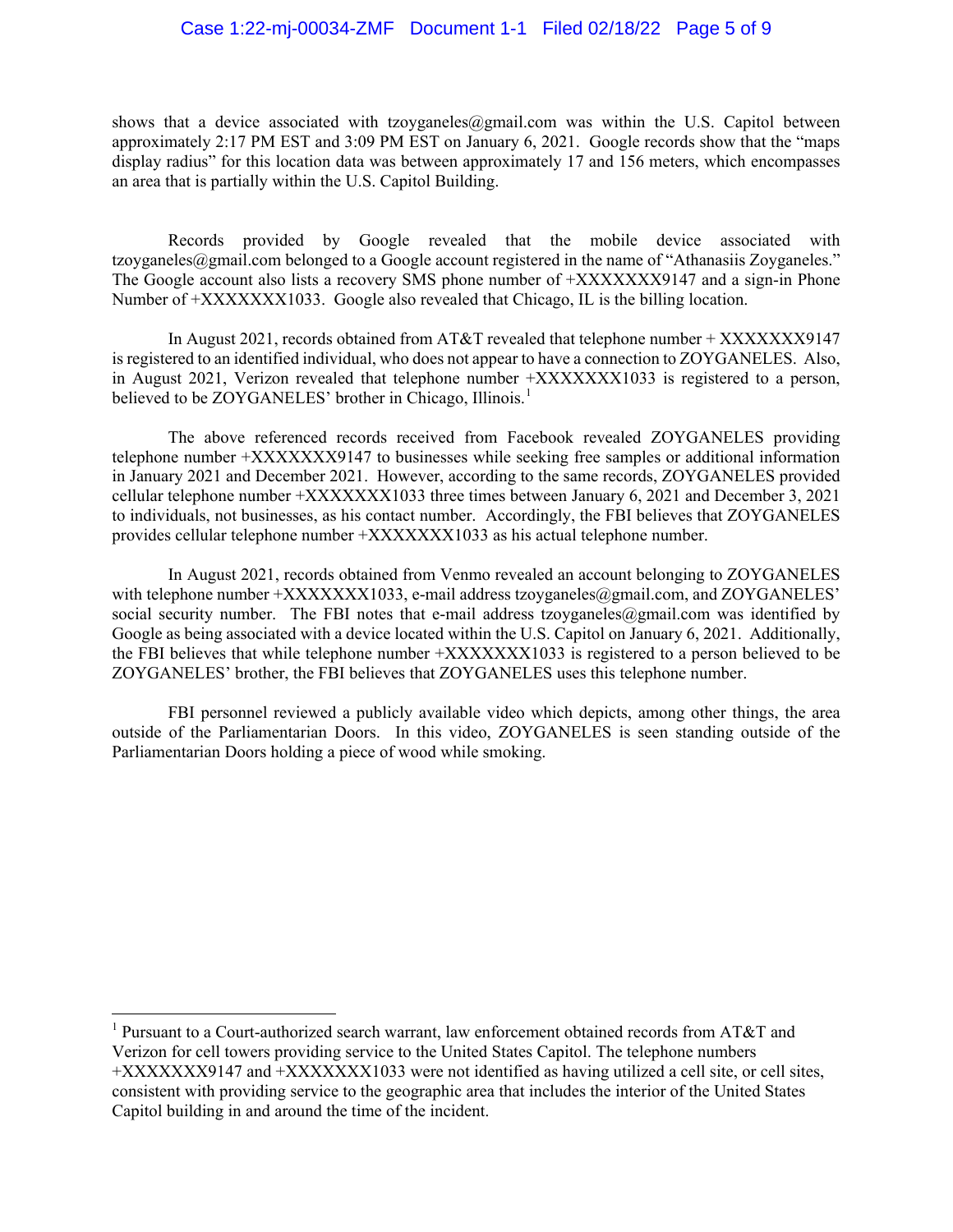## Case 1:22-mj-00034-ZMF Document 1-1 Filed 02/18/22 Page 5 of 9

shows that a device associated with tzoyganeles@gmail.com was within the U.S. Capitol between approximately 2:17 PM EST and 3:09 PM EST on January 6, 2021. Google records show that the "maps display radius" for this location data was between approximately 17 and 156 meters, which encompasses an area that is partially within the U.S. Capitol Building.

Records provided by Google revealed that the mobile device associated with tzoyganeles@gmail.com belonged to a Google account registered in the name of "Athanasiis Zoyganeles." The Google account also lists a recovery SMS phone number of +XXXXXXX9147 and a sign-in Phone Number of +XXXXXXX1033. Google also revealed that Chicago, IL is the billing location.

In August 2021, records obtained from AT&T revealed that telephone number + XXXXXXXY9147 is registered to an identified individual, who does not appear to have a connection to ZOYGANELES. Also, in August 2021, Verizon revealed that telephone number +XXXXXXX1033 is registered to a person, believed to be ZOYGANELES' brother in Chicago, Illinois.<sup>[1](#page-4-0)</sup>

The above referenced records received from Facebook revealed ZOYGANELES providing telephone number +XXXXXXX9147 to businesses while seeking free samples or additional information in January 2021 and December 2021. However, according to the same records, ZOYGANELES provided cellular telephone number +XXXXXXX1033 three times between January 6, 2021 and December 3, 2021 to individuals, not businesses, as his contact number. Accordingly, the FBI believes that ZOYGANELES provides cellular telephone number +XXXXXXX1033 as his actual telephone number.

In August 2021, records obtained from Venmo revealed an account belonging to ZOYGANELES with telephone number  $+XXXXXX1033$ , e-mail address tzoyganeles@gmail.com, and ZOYGANELES' social security number. The FBI notes that e-mail address tzoyganeles@gmail.com was identified by Google as being associated with a device located within the U.S. Capitol on January 6, 2021. Additionally, the FBI believes that while telephone number +XXXXXXX1033 is registered to a person believed to be ZOYGANELES' brother, the FBI believes that ZOYGANELES uses this telephone number.

FBI personnel reviewed a publicly available video which depicts, among other things, the area outside of the Parliamentarian Doors. In this video, ZOYGANELES is seen standing outside of the Parliamentarian Doors holding a piece of wood while smoking.

<span id="page-4-0"></span><sup>&</sup>lt;sup>1</sup> Pursuant to a Court-authorized search warrant, law enforcement obtained records from AT&T and Verizon for cell towers providing service to the United States Capitol. The telephone numbers +XXXXXXX9147 and +XXXXXXX1033 were not identified as having utilized a cell site, or cell sites, consistent with providing service to the geographic area that includes the interior of the United States Capitol building in and around the time of the incident.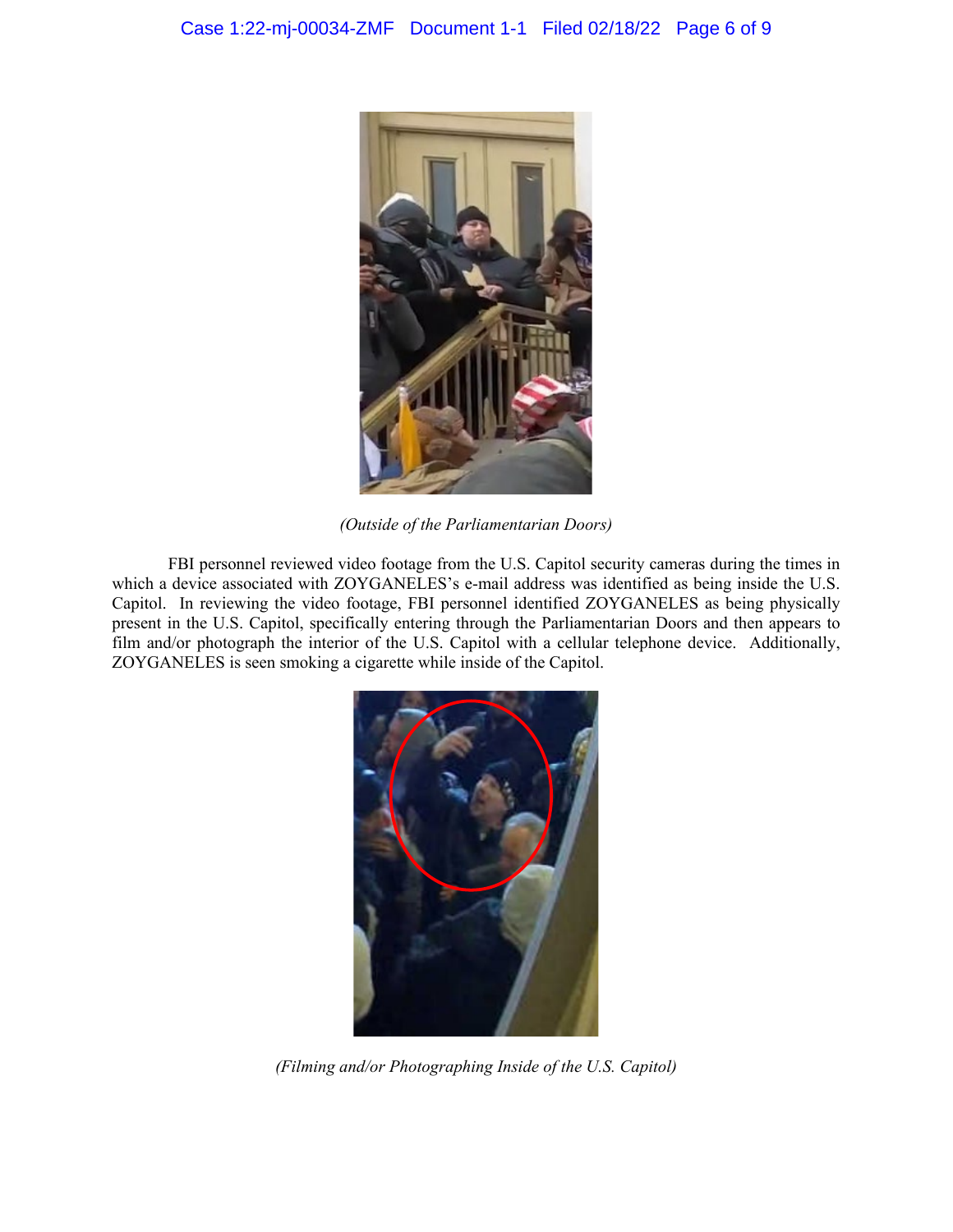

*(Outside of the Parliamentarian Doors)*

FBI personnel reviewed video footage from the U.S. Capitol security cameras during the times in which a device associated with ZOYGANELES's e-mail address was identified as being inside the U.S. Capitol. In reviewing the video footage, FBI personnel identified ZOYGANELES as being physically present in the U.S. Capitol, specifically entering through the Parliamentarian Doors and then appears to film and/or photograph the interior of the U.S. Capitol with a cellular telephone device. Additionally, ZOYGANELES is seen smoking a cigarette while inside of the Capitol.



*(Filming and/or Photographing Inside of the U.S. Capitol)*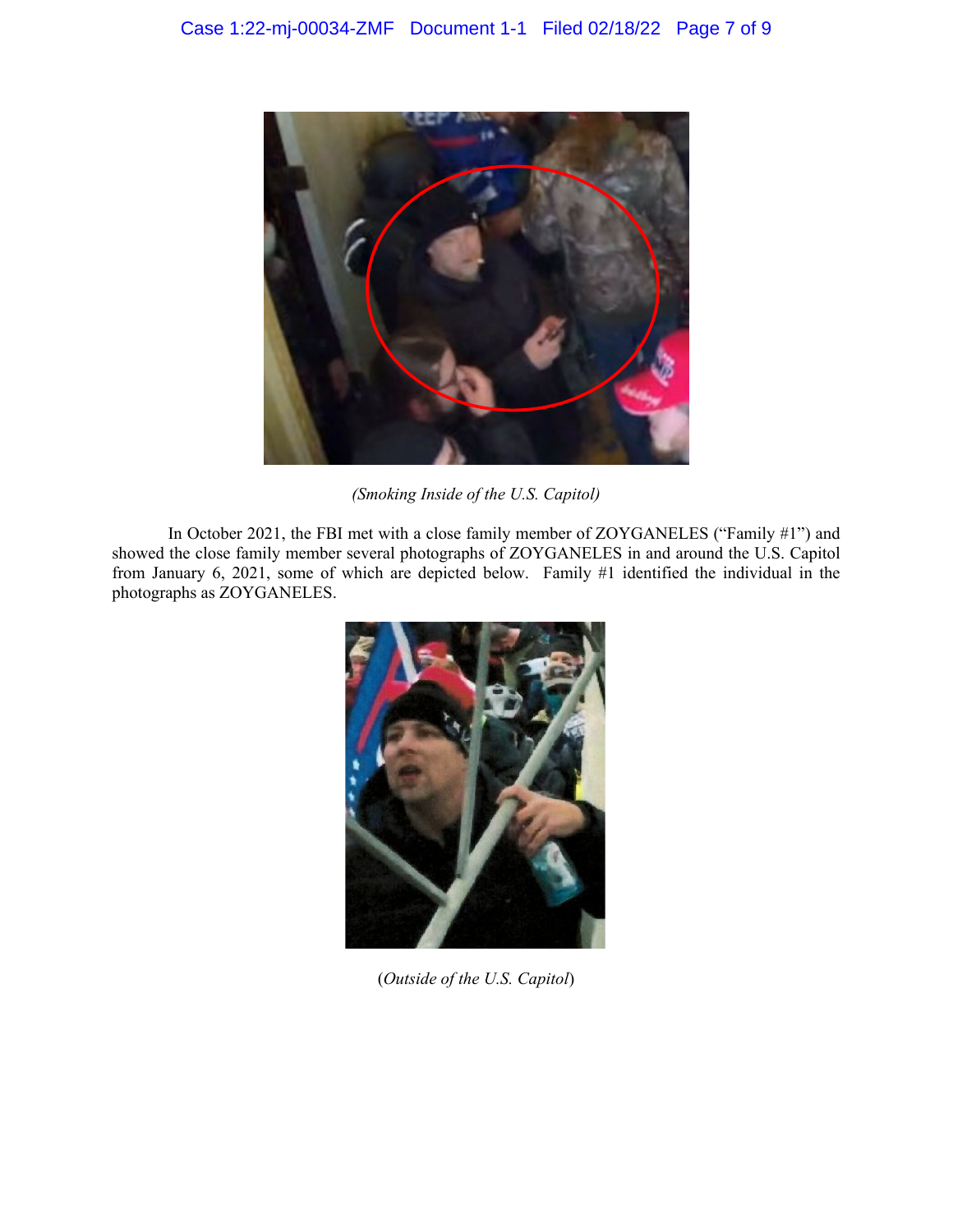

*(Smoking Inside of the U.S. Capitol)*

In October 2021, the FBI met with a close family member of ZOYGANELES ("Family #1") and showed the close family member several photographs of ZOYGANELES in and around the U.S. Capitol from January 6, 2021, some of which are depicted below. Family #1 identified the individual in the photographs as ZOYGANELES.



(*Outside of the U.S. Capitol*)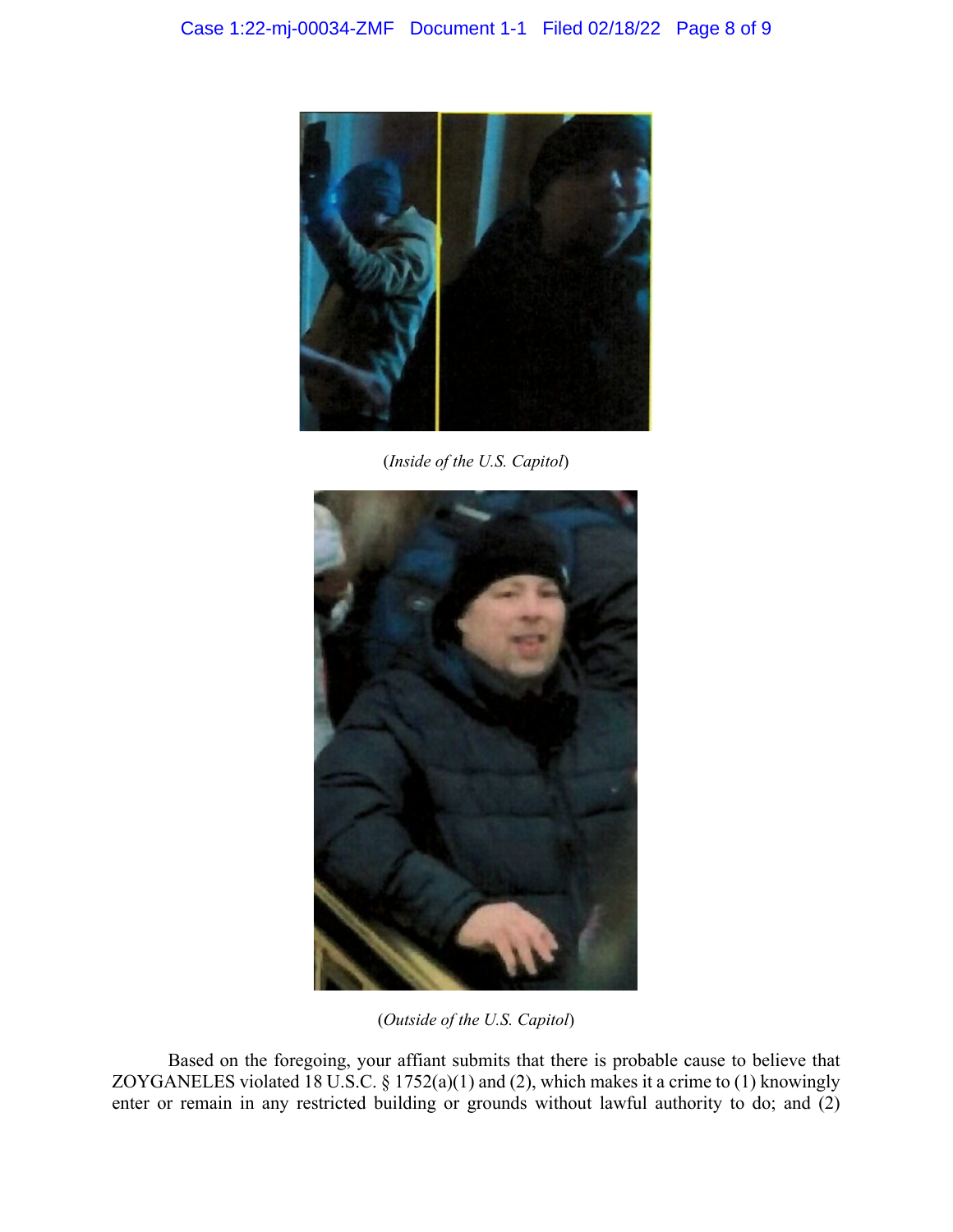

(*Inside of the U.S. Capitol*)



(*Outside of the U.S. Capitol*)

Based on the foregoing, your affiant submits that there is probable cause to believe that ZOYGANELES violated 18 U.S.C.  $\S 1752(a)(1)$  and (2), which makes it a crime to (1) knowingly enter or remain in any restricted building or grounds without lawful authority to do; and (2)